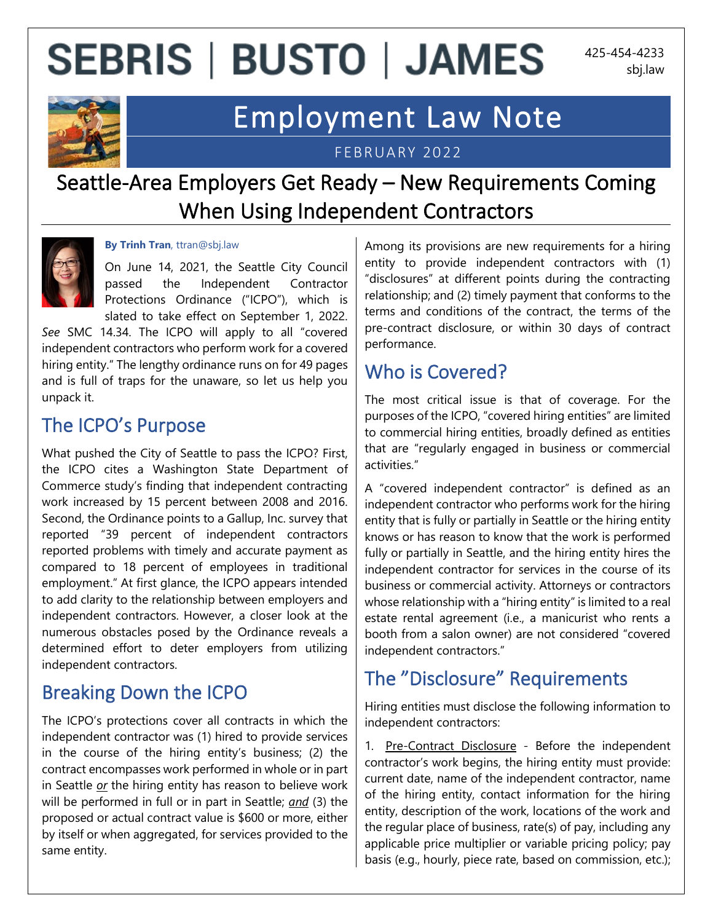## **SEBRIS | BUSTO | JAMES**

425-454-4233 sbj.law



### Employment Law Note

FEBRUARY 2022

### Seattle-Area Employers Get Ready – New Requirements Coming When Using Independent Contractors



#### **By Trinh Tran**, ttran@sbj.law

On June 14, 2021, the Seattle City Council passed the Independent Contractor Protections Ordinance ("ICPO"), which is slated to take effect on September 1, 2022.

*See* SMC 14.34. The ICPO will apply to all "covered independent contractors who perform work for a covered hiring entity." The lengthy ordinance runs on for 49 pages and is full of traps for the unaware, so let us help you unpack it.

#### The ICPO's Purpose

What pushed the City of Seattle to pass the ICPO? First, the ICPO cites a Washington State Department of Commerce study's finding that independent contracting work increased by 15 percent between 2008 and 2016. Second, the Ordinance points to a Gallup, Inc. survey that reported "39 percent of independent contractors reported problems with timely and accurate payment as compared to 18 percent of employees in traditional employment." At first glance, the ICPO appears intended to add clarity to the relationship between employers and independent contractors. However, a closer look at the numerous obstacles posed by the Ordinance reveals a determined effort to deter employers from utilizing independent contractors.

#### Breaking Down the ICPO

The ICPO's protections cover all contracts in which the independent contractor was (1) hired to provide services in the course of the hiring entity's business; (2) the contract encompasses work performed in whole or in part in Seattle *or* the hiring entity has reason to believe work will be performed in full or in part in Seattle; *and* (3) the proposed or actual contract value is \$600 or more, either by itself or when aggregated, for services provided to the same entity.

Among its provisions are new requirements for a hiring entity to provide independent contractors with (1) "disclosures" at different points during the contracting relationship; and (2) timely payment that conforms to the terms and conditions of the contract, the terms of the pre-contract disclosure, or within 30 days of contract performance.

#### Who is Covered?

The most critical issue is that of coverage. For the purposes of the ICPO, "covered hiring entities" are limited to commercial hiring entities, broadly defined as entities that are "regularly engaged in business or commercial activities."

A "covered independent contractor" is defined as an independent contractor who performs work for the hiring entity that is fully or partially in Seattle or the hiring entity knows or has reason to know that the work is performed fully or partially in Seattle, and the hiring entity hires the independent contractor for services in the course of its business or commercial activity. Attorneys or contractors whose relationship with a "hiring entity" is limited to a real estate rental agreement (i.e., a manicurist who rents a booth from a salon owner) are not considered "covered independent contractors."

#### The "Disclosure" Requirements

Hiring entities must disclose the following information to independent contractors:

1. Pre-Contract Disclosure - Before the independent contractor's work begins, the hiring entity must provide: current date, name of the independent contractor, name of the hiring entity, contact information for the hiring entity, description of the work, locations of the work and the regular place of business, rate(s) of pay, including any applicable price multiplier or variable pricing policy; pay basis (e.g., hourly, piece rate, based on commission, etc.);